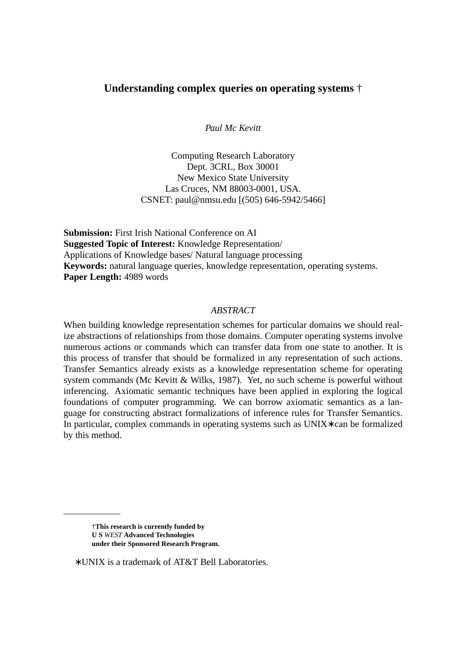# **Understanding complex queries on operating systems** †

*Paul Mc Kevitt*

Computing Research Laboratory Dept. 3CRL, Box 30001 New Mexico State University Las Cruces, NM 88003-0001, USA. CSNET: paul@nmsu.edu [(505) 646-5942/5466]

**Submission:** First Irish National Conference on AI **Suggested Topic of Interest:** Knowledge Representation/ Applications of Knowledge bases/ Natural language processing **Keywords:** natural language queries, knowledge representation, operating systems. **Paper Length:** 4989 words

#### *ABSTRACT*

When building knowledge representation schemes for particular domains we should realize abstractions of relationships from those domains. Computer operating systems involve numerous actions or commands which can transfer data from one state to another. It is this process of transfer that should be formalized in any representation of such actions. Transfer Semantics already exists as a knowledge representation scheme for operating system commands (Mc Kevitt & Wilks, 1987). Yet, no such scheme is powerful without inferencing. Axiomatic semantic techniques have been applied in exploring the logical foundations of computer programming. We can borrow axiomatic semantics as a language for constructing abstract formalizations of inference rules for Transfer Semantics. In particular, complex commands in operating systems such as UNIX∗ can be formalized by this method.

<sup>†</sup>**This research is currently funded by U S** *WEST* **Advanced Technologies under their Sponsored Research Program.**

<sup>∗</sup> UNIX is a trademark of AT&T Bell Laboratories.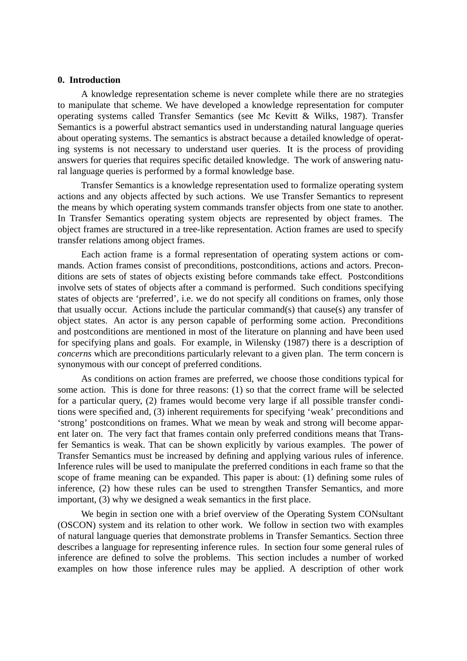## **0. Introduction**

A knowledge representation scheme is never complete while there are no strategies to manipulate that scheme. We have developed a knowledge representation for computer operating systems called Transfer Semantics (see Mc Kevitt & Wilks, 1987). Transfer Semantics is a powerful abstract semantics used in understanding natural language queries about operating systems. The semantics is abstract because a detailed knowledge of operating systems is not necessary to understand user queries. It is the process of providing answers for queries that requires specific detailed knowledge. The work of answering natural language queries is performed by a formal knowledge base.

Transfer Semantics is a knowledge representation used to formalize operating system actions and any objects affected by such actions. We use Transfer Semantics to represent the means by which operating system commands transfer objects from one state to another. In Transfer Semantics operating system objects are represented by object frames. The object frames are structured in a tree-like representation. Action frames are used to specify transfer relations among object frames.

Each action frame is a formal representation of operating system actions or commands. Action frames consist of preconditions, postconditions, actions and actors. Preconditions are sets of states of objects existing before commands take effect. Postconditions involve sets of states of objects after a command is performed. Such conditions specifying states of objects are 'preferred', i.e. we do not specify all conditions on frames, only those that usually occur. Actions include the particular command(s) that cause(s) any transfer of object states. An actor is any person capable of performing some action. Preconditions and postconditions are mentioned in most of the literature on planning and have been used for specifying plans and goals. For example, in Wilensky (1987) there is a description of *concerns* which are preconditions particularly relevant to a given plan. The term concern is synonymous with our concept of preferred conditions.

As conditions on action frames are preferred, we choose those conditions typical for some action. This is done for three reasons: (1) so that the correct frame will be selected for a particular query, (2) frames would become very large if all possible transfer conditions were specified and, (3) inherent requirements for specifying 'weak' preconditions and 'strong' postconditions on frames. What we mean by weak and strong will become apparent later on. The very fact that frames contain only preferred conditions means that Transfer Semantics is weak. That can be shown explicitly by various examples. The power of Transfer Semantics must be increased by defining and applying various rules of inference. Inference rules will be used to manipulate the preferred conditions in each frame so that the scope of frame meaning can be expanded. This paper is about: (1) defining some rules of inference, (2) how these rules can be used to strengthen Transfer Semantics, and more important, (3) why we designed a weak semantics in the first place.

We begin in section one with a brief overview of the Operating System CONsultant (OSCON) system and its relation to other work. We follow in section two with examples of natural language queries that demonstrate problems in Transfer Semantics. Section three describes a language for representing inference rules. In section four some general rules of inference are defined to solve the problems. This section includes a number of worked examples on how those inference rules may be applied. A description of other work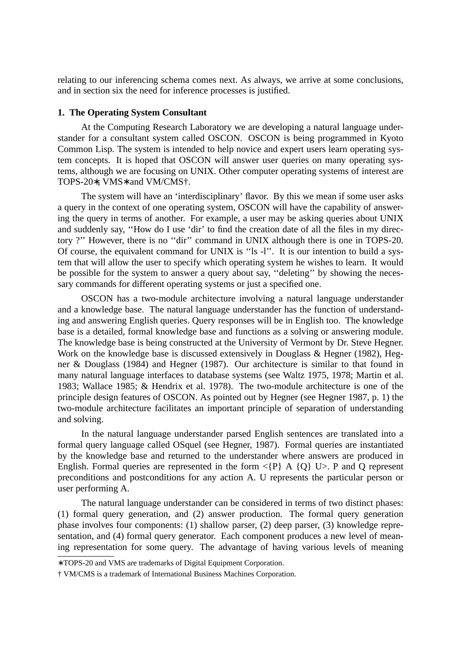relating to our inferencing schema comes next. As always, we arrive at some conclusions, and in section six the need for inference processes is justified.

## **1. The Operating System Consultant**

At the Computing Research Laboratory we are developing a natural language understander for a consultant system called OSCON. OSCON is being programmed in Kyoto Common Lisp. The system is intended to help novice and expert users learn operating system concepts. It is hoped that OSCON will answer user queries on many operating systems, although we are focusing on UNIX. Other computer operating systems of interest are TOPS-20∗, VMS∗ and VM/CMS†.

The system will have an 'interdisciplinary' flavor. By this we mean if some user asks a query in the context of one operating system, OSCON will have the capability of answering the query in terms of another. For example, a user may be asking queries about UNIX and suddenly say, ''How do I use 'dir' to find the creation date of all the files in my directory ?" However, there is no "dir" command in UNIX although there is one in TOPS-20. Of course, the equivalent command for UNIX is ''ls -l''. It is our intention to build a system that will allow the user to specify which operating system he wishes to learn. It would be possible for the system to answer a query about say, ''deleting'' by showing the necessary commands for different operating systems or just a specified one.

OSCON has a two-module architecture involving a natural language understander and a knowledge base. The natural language understander has the function of understanding and answering English queries. Query responses will be in English too. The knowledge base is a detailed, formal knowledge base and functions as a solving or answering module. The knowledge base is being constructed at the University of Vermont by Dr. Steve Hegner. Work on the knowledge base is discussed extensively in Douglass & Hegner (1982), Hegner & Douglass (1984) and Hegner (1987). Our architecture is similar to that found in many natural language interfaces to database systems (see Waltz 1975, 1978; Martin et al. 1983; Wallace 1985; & Hendrix et al. 1978). The two-module architecture is one of the principle design features of OSCON. As pointed out by Hegner (see Hegner 1987, p. 1) the two-module architecture facilitates an important principle of separation of understanding and solving.

In the natural language understander parsed English sentences are translated into a formal query language called OSquel (see Hegner, 1987). Formal queries are instantiated by the knowledge base and returned to the understander where answers are produced in English. Formal queries are represented in the form  $\langle P \rangle$  A  $\{Q\}$  U>. P and Q represent preconditions and postconditions for any action A. U represents the particular person or user performing A.

The natural language understander can be considered in terms of two distinct phases: (1) formal query generation, and (2) answer production. The formal query generation phase involves four components: (1) shallow parser, (2) deep parser, (3) knowledge representation, and (4) formal query generator. Each component produces a new level of meaning representation for some query. The advantage of having various levels of meaning

<sup>∗</sup> TOPS-20 and VMS are trademarks of Digital Equipment Corporation.

<sup>†</sup> VM/CMS is a trademark of International Business Machines Corporation.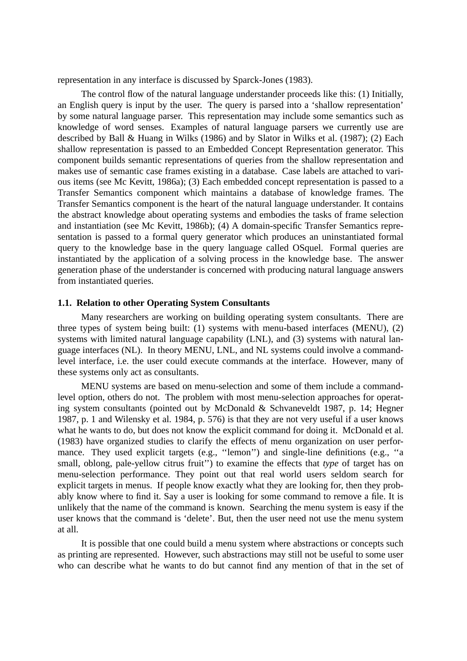representation in any interface is discussed by Sparck-Jones (1983).

The control flow of the natural language understander proceeds like this: (1) Initially, an English query is input by the user. The query is parsed into a 'shallow representation' by some natural language parser. This representation may include some semantics such as knowledge of word senses. Examples of natural language parsers we currently use are described by Ball & Huang in Wilks (1986) and by Slator in Wilks et al. (1987); (2) Each shallow representation is passed to an Embedded Concept Representation generator. This component builds semantic representations of queries from the shallow representation and makes use of semantic case frames existing in a database. Case labels are attached to various items (see Mc Kevitt, 1986a); (3) Each embedded concept representation is passed to a Transfer Semantics component which maintains a database of knowledge frames. The Transfer Semantics component is the heart of the natural language understander. It contains the abstract knowledge about operating systems and embodies the tasks of frame selection and instantiation (see Mc Kevitt, 1986b); (4) A domain-specific Transfer Semantics representation is passed to a formal query generator which produces an uninstantiated formal query to the knowledge base in the query language called OSquel. Formal queries are instantiated by the application of a solving process in the knowledge base. The answer generation phase of the understander is concerned with producing natural language answers from instantiated queries.

## **1.1. Relation to other Operating System Consultants**

Many researchers are working on building operating system consultants. There are three types of system being built: (1) systems with menu-based interfaces (MENU), (2) systems with limited natural language capability (LNL), and (3) systems with natural language interfaces (NL). In theory MENU, LNL, and NL systems could involve a commandlevel interface, i.e. the user could execute commands at the interface. However, many of these systems only act as consultants.

MENU systems are based on menu-selection and some of them include a commandlevel option, others do not. The problem with most menu-selection approaches for operating system consultants (pointed out by McDonald & Schvaneveldt 1987, p. 14; Hegner 1987, p. 1 and Wilensky et al. 1984, p. 576) is that they are not very useful if a user knows what he wants to do, but does not know the explicit command for doing it. McDonald et al. (1983) have organized studies to clarify the effects of menu organization on user performance. They used explicit targets (e.g., "lemon") and single-line definitions (e.g., "a small, oblong, pale-yellow citrus fruit'') to examine the effects that *type* of target has on menu-selection performance. They point out that real world users seldom search for explicit targets in menus. If people know exactly what they are looking for, then they probably know where to find it. Say a user is looking for some command to remove a file. It is unlikely that the name of the command is known. Searching the menu system is easy if the user knows that the command is 'delete'. But, then the user need not use the menu system at all.

It is possible that one could build a menu system where abstractions or concepts such as printing are represented. However, such abstractions may still not be useful to some user who can describe what he wants to do but cannot find any mention of that in the set of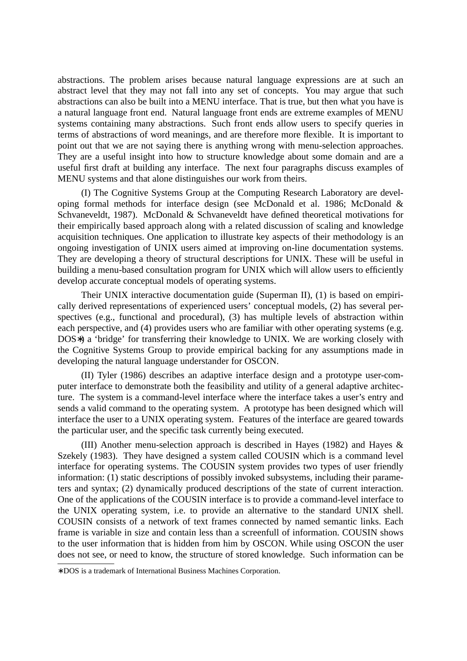abstractions. The problem arises because natural language expressions are at such an abstract level that they may not fall into any set of concepts. You may argue that such abstractions can also be built into a MENU interface. That is true, but then what you have is a natural language front end. Natural language front ends are extreme examples of MENU systems containing many abstractions. Such front ends allow users to specify queries in terms of abstractions of word meanings, and are therefore more flexible. It is important to point out that we are not saying there is anything wrong with menu-selection approaches. They are a useful insight into how to structure knowledge about some domain and are a useful first draft at building any interface. The next four paragraphs discuss examples of MENU systems and that alone distinguishes our work from theirs.

(I) The Cognitive Systems Group at the Computing Research Laboratory are developing formal methods for interface design (see McDonald et al. 1986; McDonald & Schvaneveldt, 1987). McDonald & Schvaneveldt have defined theoretical motivations for their empirically based approach along with a related discussion of scaling and knowledge acquisition techniques. One application to illustrate key aspects of their methodology is an ongoing investigation of UNIX users aimed at improving on-line documentation systems. They are developing a theory of structural descriptions for UNIX. These will be useful in building a menu-based consultation program for UNIX which will allow users to efficiently develop accurate conceptual models of operating systems.

Their UNIX interactive documentation guide (Superman II), (1) is based on empirically derived representations of experienced users' conceptual models, (2) has several perspectives (e.g., functional and procedural), (3) has multiple levels of abstraction within each perspective, and (4) provides users who are familiar with other operating systems (e.g. DOS<sup>\*</sup>) a 'bridge' for transferring their knowledge to UNIX. We are working closely with the Cognitive Systems Group to provide empirical backing for any assumptions made in developing the natural language understander for OSCON.

(II) Tyler (1986) describes an adaptive interface design and a prototype user-computer interface to demonstrate both the feasibility and utility of a general adaptive architecture. The system is a command-level interface where the interface takes a user's entry and sends a valid command to the operating system. A prototype has been designed which will interface the user to a UNIX operating system. Features of the interface are geared towards the particular user, and the specific task currently being executed.

(III) Another menu-selection approach is described in Hayes (1982) and Hayes & Szekely (1983). They have designed a system called COUSIN which is a command level interface for operating systems. The COUSIN system provides two types of user friendly information: (1) static descriptions of possibly invoked subsystems, including their parameters and syntax; (2) dynamically produced descriptions of the state of current interaction. One of the applications of the COUSIN interface is to provide a command-level interface to the UNIX operating system, i.e. to provide an alternative to the standard UNIX shell. COUSIN consists of a network of text frames connected by named semantic links. Each frame is variable in size and contain less than a screenfull of information. COUSIN shows to the user information that is hidden from him by OSCON. While using OSCON the user does not see, or need to know, the structure of stored knowledge. Such information can be

<sup>∗</sup> DOS is a trademark of International Business Machines Corporation.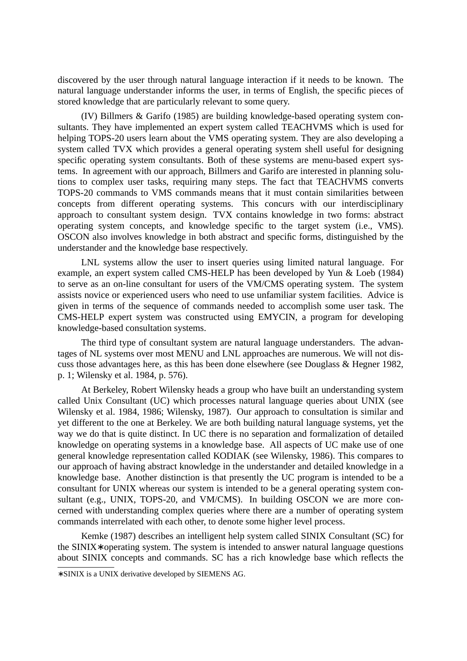discovered by the user through natural language interaction if it needs to be known. The natural language understander informs the user, in terms of English, the specific pieces of stored knowledge that are particularly relevant to some query.

(IV) Billmers & Garifo (1985) are building knowledge-based operating system consultants. They have implemented an expert system called TEACHVMS which is used for helping TOPS-20 users learn about the VMS operating system. They are also developing a system called TVX which provides a general operating system shell useful for designing specific operating system consultants. Both of these systems are menu-based expert systems. In agreement with our approach, Billmers and Garifo are interested in planning solutions to complex user tasks, requiring many steps. The fact that TEACHVMS converts TOPS-20 commands to VMS commands means that it must contain similarities between concepts from different operating systems. This concurs with our interdisciplinary approach to consultant system design. TVX contains knowledge in two forms: abstract operating system concepts, and knowledge specific to the target system (i.e., VMS). OSCON also involves knowledge in both abstract and specific forms, distinguished by the understander and the knowledge base respectively.

LNL systems allow the user to insert queries using limited natural language. For example, an expert system called CMS-HELP has been developed by Yun & Loeb (1984) to serve as an on-line consultant for users of the VM/CMS operating system. The system assists novice or experienced users who need to use unfamiliar system facilities. Advice is given in terms of the sequence of commands needed to accomplish some user task. The CMS-HELP expert system was constructed using EMYCIN, a program for developing knowledge-based consultation systems.

The third type of consultant system are natural language understanders. The advantages of NL systems over most MENU and LNL approaches are numerous. We will not discuss those advantages here, as this has been done elsewhere (see Douglass & Hegner 1982, p. 1; Wilensky et al. 1984, p. 576).

At Berkeley, Robert Wilensky heads a group who have built an understanding system called Unix Consultant (UC) which processes natural language queries about UNIX (see Wilensky et al. 1984, 1986; Wilensky, 1987). Our approach to consultation is similar and yet different to the one at Berkeley. We are both building natural language systems, yet the way we do that is quite distinct. In UC there is no separation and formalization of detailed knowledge on operating systems in a knowledge base. All aspects of UC make use of one general knowledge representation called KODIAK (see Wilensky, 1986). This compares to our approach of having abstract knowledge in the understander and detailed knowledge in a knowledge base. Another distinction is that presently the UC program is intended to be a consultant for UNIX whereas our system is intended to be a general operating system consultant (e.g., UNIX, TOPS-20, and VM/CMS). In building OSCON we are more concerned with understanding complex queries where there are a number of operating system commands interrelated with each other, to denote some higher level process.

Kemke (1987) describes an intelligent help system called SINIX Consultant (SC) for the SINIX∗ operating system. The system is intended to answer natural language questions about SINIX concepts and commands. SC has a rich knowledge base which reflects the

<sup>∗</sup> SINIX is a UNIX derivative dev eloped by SIEMENS AG.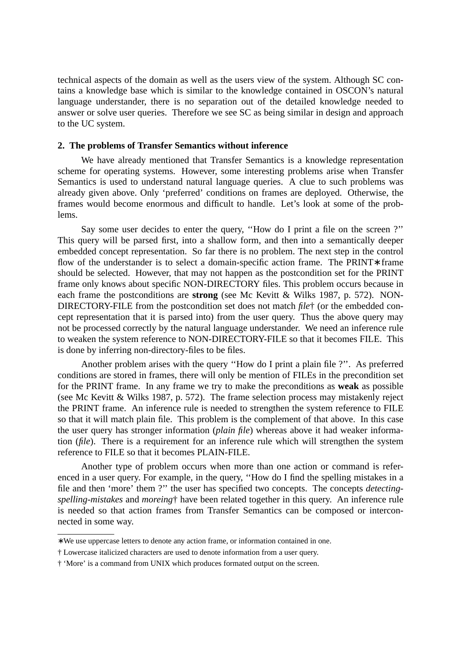technical aspects of the domain as well as the users view of the system. Although SC contains a knowledge base which is similar to the knowledge contained in OSCON's natural language understander, there is no separation out of the detailed knowledge needed to answer or solve user queries. Therefore we see SC as being similar in design and approach to the UC system.

#### **2. The problems of Transfer Semantics without inference**

We have already mentioned that Transfer Semantics is a knowledge representation scheme for operating systems. However, some interesting problems arise when Transfer Semantics is used to understand natural language queries. A clue to such problems was already given above. Only 'preferred' conditions on frames are deployed. Otherwise, the frames would become enormous and difficult to handle. Let's look at some of the problems.

Say some user decides to enter the query, ''How do I print a file on the screen ?'' This query will be parsed first, into a shallow form, and then into a semantically deeper embedded concept representation. So far there is no problem. The next step in the control flow of the understander is to select a domain-specific action frame. The PRINT∗ frame should be selected. However, that may not happen as the postcondition set for the PRINT frame only knows about specific NON-DIRECTORY files. This problem occurs because in each frame the postconditions are **strong** (see Mc Kevitt & Wilks 1987, p. 572). NON-DIRECTORY-FILE from the postcondition set does not match *file*† (or the embedded concept representation that it is parsed into) from the user query. Thus the above query may not be processed correctly by the natural language understander. We need an inference rule to weaken the system reference to NON-DIRECTORY-FILE so that it becomes FILE. This is done by inferring non-directory-files to be files.

Another problem arises with the query ''How do I print a plain file ?''. As preferred conditions are stored in frames, there will only be mention of FILEs in the precondition set for the PRINT frame. In any frame we try to make the preconditions as **weak** as possible (see Mc Kevitt & Wilks 1987, p. 572). The frame selection process may mistakenly reject the PRINT frame. An inference rule is needed to strengthen the system reference to FILE so that it will match plain file. This problem is the complement of that above. In this case the user query has stronger information (*plain file*) whereas above it had weaker information (*file*). There is a requirement for an inference rule which will strengthen the system reference to FILE so that it becomes PLAIN-FILE.

Another type of problem occurs when more than one action or command is referenced in a user query. For example, in the query, ''How do I find the spelling mistakes in a file and then 'more' them ?" the user has specified two concepts. The concepts *detectingspelling-mistakes* and *moreing*† have been related together in this query. An inference rule is needed so that action frames from Transfer Semantics can be composed or interconnected in some way.

<sup>∗</sup> We use uppercase letters to denote any action frame, or information contained in one.

<sup>†</sup> Lowercase italicized characters are used to denote information from a user query.

<sup>† &#</sup>x27;More' is a command from UNIX which produces formated output on the screen.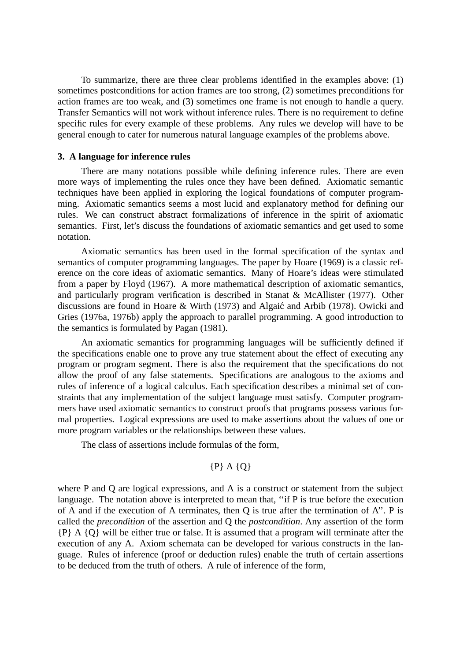To summarize, there are three clear problems identified in the examples above: (1) sometimes postconditions for action frames are too strong, (2) sometimes preconditions for action frames are too weak, and (3) sometimes one frame is not enough to handle a query. Transfer Semantics will not work without inference rules. There is no requirement to define specific rules for every example of these problems. Any rules we develop will have to be general enough to cater for numerous natural language examples of the problems above.

### **3. A language for inference rules**

There are many notations possible while defining inference rules. There are even more ways of implementing the rules once they have been defined. Axiomatic semantic techniques have been applied in exploring the logical foundations of computer programming. Axiomatic semantics seems a most lucid and explanatory method for defining our rules. We can construct abstract formalizations of inference in the spirit of axiomatic semantics. First, let's discuss the foundations of axiomatic semantics and get used to some notation.

Axiomatic semantics has been used in the formal specification of the syntax and semantics of computer programming languages. The paper by Hoare (1969) is a classic reference on the core ideas of axiomatic semantics. Many of Hoare's ideas were stimulated from a paper by Floyd (1967). A more mathematical description of axiomatic semantics, and particularly program verification is described in Stanat & McAllister (1977). Other discussions are found in Hoare & Wirth (1973) and Algaic and Arbib (1978). Owicki and Gries (1976a, 1976b) apply the approach to parallel programming. A good introduction to the semantics is formulated by Pagan (1981).

An axiomatic semantics for programming languages will be sufficiently defined if the specifications enable one to prove any true statement about the effect of executing any program or program segment. There is also the requirement that the specifications do not allow the proof of any false statements. Specifications are analogous to the axioms and rules of inference of a logical calculus. Each specification describes a minimal set of constraints that any implementation of the subject language must satisfy. Computer programmers have used axiomatic semantics to construct proofs that programs possess various formal properties. Logical expressions are used to make assertions about the values of one or more program variables or the relationships between these values.

The class of assertions include formulas of the form,

## $\{P\}$  A  $\{Q\}$

where P and Q are logical expressions, and A is a construct or statement from the subject language. The notation above is interpreted to mean that, "if P is true before the execution of A and if the execution of A terminates, then  $Q$  is true after the termination of A". P is called the *precondition* of the assertion and Q the *postcondition*. Any assertion of the form {P} A {Q} will be either true or false. It is assumed that a program will terminate after the execution of any A. Axiom schemata can be developed for various constructs in the language. Rules of inference (proof or deduction rules) enable the truth of certain assertions to be deduced from the truth of others. A rule of inference of the form,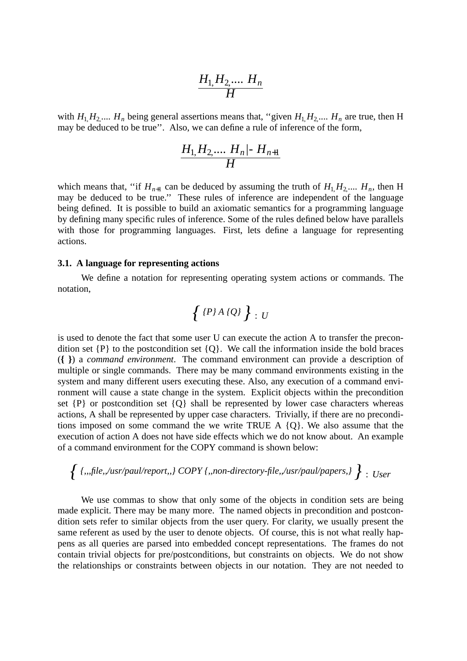$$
\frac{H_1, H_2, \dots, H_n}{H}
$$

with  $H_1, H_2, \ldots, H_n$  being general assertions means that, "given  $H_1, H_2, \ldots, H_n$  are true, then H may be deduced to be true''. Also, we can define a rule of inference of the form,

$$
\frac{H_1, H_2, \dots, H_n, H_{n+1}}{H}
$$

which means that, "if  $H_{n+1}$  can be deduced by assuming the truth of  $H_1, H_2, \ldots, H_n$ , then H may be deduced to be true.'' These rules of inference are independent of the language being defined. It is possible to build an axiomatic semantics for a programming language by defining many specific rules of inference. Some of the rules defined below have parallels with those for programming languages. First, lets define a language for representing actions.

## **3.1. A language for representing actions**

We define a notation for representing operating system actions or commands. The notation,

$$
\{P\}A\{Q\}\}\cdot U
$$

is used to denote the fact that some user U can execute the action A to transfer the precondition set  $\{P\}$  to the postcondition set  $\{Q\}$ . We call the information inside the bold braces (**{ }**) a *command environment*. The command environment can provide a description of multiple or single commands. There may be many command environments existing in the system and many different users executing these. Also, any execution of a command environment will cause a state change in the system. Explicit objects within the precondition set  $\{P\}$  or postcondition set  $\{Q\}$  shall be represented by lower case characters whereas actions, A shall be represented by upper case characters. Trivially, if there are no preconditions imposed on some command the we write TRUE A  ${Q}$ . We also assume that the execution of action A does not have side effects which we do not know about. An example of a command environment for the COPY command is shown below:

$$
\left\{\right.\{\,,,\mathit{file},\mathit{~~}/usr\mathit{paul/report},\allowbreak\} \;COPY\,\{\,,\mathit{non-divector}y\text{-file},\mathit{~~}/usr\mathit{paul/papers},\}\right\}:\textit{User}
$$

We use commas to show that only some of the objects in condition sets are being made explicit. There may be many more. The named objects in precondition and postcondition sets refer to similar objects from the user query. For clarity, we usually present the same referent as used by the user to denote objects. Of course, this is not what really happens as all queries are parsed into embedded concept representations. The frames do not contain trivial objects for pre/postconditions, but constraints on objects. We do not show the relationships or constraints between objects in our notation. They are not needed to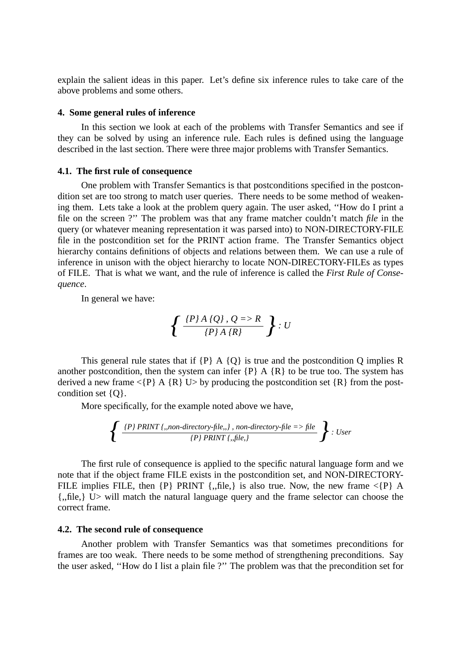explain the salient ideas in this paper. Let's define six inference rules to take care of the above problems and some others.

#### **4. Some general rules of inference**

In this section we look at each of the problems with Transfer Semantics and see if they can be solved by using an inference rule. Each rules is defined using the language described in the last section. There were three major problems with Transfer Semantics.

## **4.1. The first rule of consequence**

One problem with Transfer Semantics is that postconditions specified in the postcondition set are too strong to match user queries. There needs to be some method of weakening them. Lets take a look at the problem query again. The user asked, "How do I print a file on the screen ?'' The problem was that any frame matcher couldn't match *file* in the query (or whatever meaning representation it was parsed into) to NON-DIRECTORY-FILE file in the postcondition set for the PRINT action frame. The Transfer Semantics object hierarchy contains definitions of objects and relations between them. We can use a rule of inference in unison with the object hierarchy to locate NON-DIRECTORY-FILEs as types of FILE. That is what we want, and the rule of inference is called the *First Rule of Consequence*.

In general we have:

$$
\left\{\frac{\left\{P\right\}A\left\{Q\right\},Q\right\}=>R}{\left\{P\right\}A\left\{R\right\}}\right\}:U
$$

This general rule states that if  ${P}$  A  ${Q}$  is true and the postcondition Q implies R another postcondition, then the system can infer  $\{P\}$  A  $\{R\}$  to be true too. The system has derived a new frame  $\langle P \rangle$  A {R} U by producing the postcondition set {R} from the postcondition set {Q}.

More specifically, for the example noted above we have,

$$
\left\{\frac{\text{~(P) PRINT~(,, non-directory-file.,)} ,\text{ non-directory-file} \text{~=~file}}{\text{~(P) PRINT~(,,file,)}}
$$
~: User

The first rule of consequence is applied to the specific natural language form and we note that if the object frame FILE exists in the postcondition set, and NON-DIRECTORY-FILE implies FILE, then  $\{P\}$  PRINT  $\{$ , file, is also true. Now, the new frame  $\{P\}$  A {,,file,} U> will match the natural language query and the frame selector can choose the correct frame.

## **4.2. The second rule of consequence**

Another problem with Transfer Semantics was that sometimes preconditions for frames are too weak. There needs to be some method of strengthening preconditions. Say the user asked, ''How do I list a plain file ?'' The problem was that the precondition set for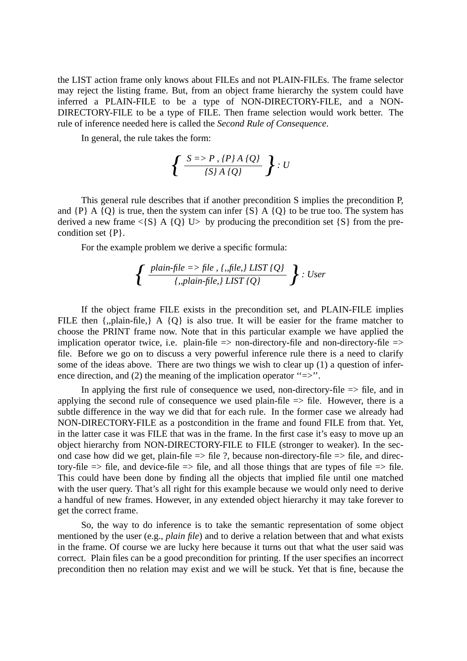the LIST action frame only knows about FILEs and not PLAIN-FILEs. The frame selector may reject the listing frame. But, from an object frame hierarchy the system could have inferred a PLAIN-FILE to be a type of NON-DIRECTORY-FILE, and a NON-DIRECTORY-FILE to be a type of FILE. Then frame selection would work better. The rule of inference needed here is called the *Second Rule of Consequence*.

In general, the rule takes the form:

$$
\left\{\frac{S \Rightarrow P, \{P\} \land \{Q\}}{\{S\} \land \{Q\}}\right\} : U
$$

This general rule describes that if another precondition S implies the precondition P, and  $\{P\}$  A  $\{Q\}$  is true, then the system can infer  $\{S\}$  A  $\{Q\}$  to be true too. The system has derived a new frame  $\langle S \rangle$  A {Q} U> by producing the precondition set {S} from the precondition set {P}.

For the example problem we derive a specific formula:

$$
\left\{\frac{\text{plain-file} => \text{file}, \{.,\text{file},\} \text{ LIST} \{Q\}}{\{.,\text{plain-file},\} \text{ LIST} \{Q\}}\right\} : User
$$

If the object frame FILE exists in the precondition set, and PLAIN-FILE implies FILE then {,,plain-file,} A {Q} is also true. It will be easier for the frame matcher to choose the PRINT frame now. Note that in this particular example we have applied the implication operator twice, i.e. plain-file  $\Rightarrow$  non-directory-file and non-directory-file  $\Rightarrow$ file. Before we go on to discuss a very powerful inference rule there is a need to clarify some of the ideas above. There are two things we wish to clear up (1) a question of inference direction, and (2) the meaning of the implication operator " $\Rightarrow$ ".

In applying the first rule of consequence we used, non-directory-file  $\Rightarrow$  file, and in applying the second rule of consequence we used plain-file  $\Rightarrow$  file. However, there is a subtle difference in the way we did that for each rule. In the former case we already had NON-DIRECTORY-FILE as a postcondition in the frame and found FILE from that. Yet, in the latter case it was FILE that was in the frame. In the first case it's easy to move up an object hierarchy from NON-DIRECTORY-FILE to FILE (stronger to weaker). In the second case how did we get, plain-file  $\Rightarrow$  file ?, because non-directory-file  $\Rightarrow$  file, and directory-file  $\Rightarrow$  file, and device-file  $\Rightarrow$  file, and all those things that are types of file  $\Rightarrow$  file. This could have been done by finding all the objects that implied file until one matched with the user query. That's all right for this example because we would only need to derive a handful of new frames. However, in any extended object hierarchy it may take forever to get the correct frame.

So, the way to do inference is to take the semantic representation of some object mentioned by the user (e.g., *plain file*) and to derive a relation between that and what exists in the frame. Of course we are lucky here because it turns out that what the user said was correct. Plain files can be a good precondition for printing. If the user specifies an incorrect precondition then no relation may exist and we will be stuck. Yet that is fine, because the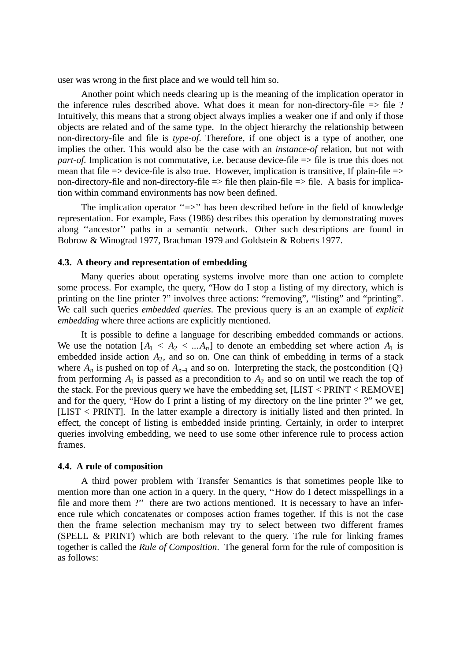user was wrong in the first place and we would tell him so.

Another point which needs clearing up is the meaning of the implication operator in the inference rules described above. What does it mean for non-directory-file => file ? Intuitively, this means that a strong object always implies a weaker one if and only if those objects are related and of the same type. In the object hierarchy the relationship between non-directory-file and file is *type-of*. Therefore, if one object is a type of another, one implies the other. This would also be the case with an *instance-of* relation, but not with *part-of.* Implication is not commutative, i.e. because device-file  $\Rightarrow$  file is true this does not mean that file  $\Rightarrow$  device-file is also true. However, implication is transitive, If plain-file  $\Rightarrow$ non-directory-file and non-directory-file  $\Rightarrow$  file then plain-file  $\Rightarrow$  file. A basis for implication within command environments has now been defined.

The implication operator "=>" has been described before in the field of knowledge representation. For example, Fass (1986) describes this operation by demonstrating moves along ''ancestor'' paths in a semantic network. Other such descriptions are found in Bobrow&Winograd 1977, Brachman 1979 and Goldstein & Roberts 1977.

#### **4.3. A theory and representation of embedding**

Many queries about operating systems involve more than one action to complete some process. For example, the query, "How do I stop a listing of my directory, which is printing on the line printer ?" involves three actions: "removing", "listing" and "printing". We call such queries *embedded queries*. The previous query is an an example of *explicit embedding* where three actions are explicitly mentioned.

It is possible to define a language for describing embedded commands or actions. We use the notation  $[A_1 \lt A_2 \lt ... \td A_n]$  to denote an embedding set where action  $A_1$  is embedded inside action *A*<sup>2</sup> , and so on. One can think of embedding in terms of a stack where  $A_n$  is pushed on top of  $A_{n-1}$  and so on. Interpreting the stack, the postcondition  $\{Q\}$ from performing  $A_1$  is passed as a precondition to  $A_2$  and so on until we reach the top of the stack. For the previous query we have the embedding set, [LIST < PRINT < REMOVE] and for the query, "How do I print a listing of my directory on the line printer ?" we get, [LIST < PRINT]. In the latter example a directory is initially listed and then printed. In effect, the concept of listing is embedded inside printing. Certainly, in order to interpret queries involving embedding, we need to use some other inference rule to process action frames.

#### **4.4. A rule of composition**

A third power problem with Transfer Semantics is that sometimes people like to mention more than one action in a query. In the query, ''How do I detect misspellings in a file and more them ?" there are two actions mentioned. It is necessary to have an inference rule which concatenates or composes action frames together. If this is not the case then the frame selection mechanism may try to select between two different frames (SPELL & PRINT) which are both relevant to the query. The rule for linking frames together is called the *Rule of Composition*. The general form for the rule of composition is as follows: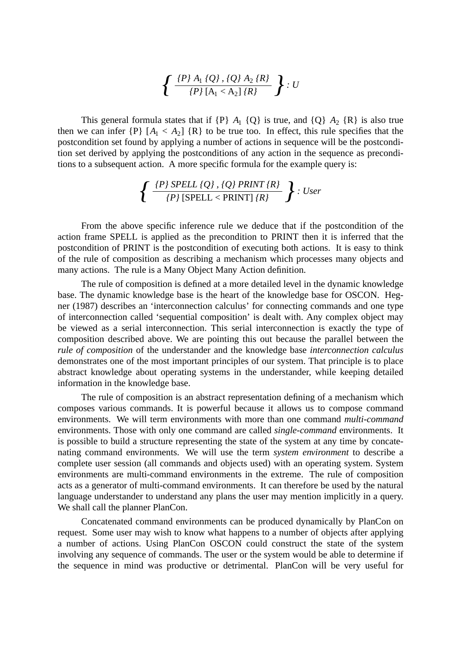$$
\left\{\frac{\{P\}_{A_1}\{Q\},\{Q\}_{A_2}\{R\}}{\{P\}\left[A_1 < A_2\right]\{R\}}\right\}: U
$$

This general formula states that if  $\{P\}$  *A*<sub>1</sub>  $\{Q\}$  is true, and  $\{Q\}$  *A*<sub>2</sub>  $\{R\}$  is also true then we can infer  $\{P\}$   $[A_1 < A_2]$   $\{R\}$  to be true too. In effect, this rule specifies that the postcondition set found by applying a number of actions in sequence will be the postcondition set derived by applying the postconditions of any action in the sequence as preconditions to a subsequent action. A more specific formula for the example query is:

$$
\left\{\frac{\left\{P\right\} SPELL\left\{Q\right\},\left\{Q\right\} PRINT\left\{R\right\}}{\left\{P\right\}\left[SPELL
$$

From the above specific inference rule we deduce that if the postcondition of the action frame SPELL is applied as the precondition to PRINT then it is inferred that the postcondition of PRINT is the postcondition of executing both actions. It is easy to think of the rule of composition as describing a mechanism which processes many objects and many actions. The rule is a Many Object Many Action definition.

The rule of composition is defined at a more detailed level in the dynamic knowledge base. The dynamic knowledge base is the heart of the knowledge base for OSCON. Hegner (1987) describes an 'interconnection calculus' for connecting commands and one type of interconnection called 'sequential composition' is dealt with. Any complex object may be viewed as a serial interconnection. This serial interconnection is exactly the type of composition described above. We are pointing this out because the parallel between the *rule of composition* of the understander and the knowledge base *interconnection calculus* demonstrates one of the most important principles of our system. That principle is to place abstract knowledge about operating systems in the understander, while keeping detailed information in the knowledge base.

The rule of composition is an abstract representation defining of a mechanism which composes various commands. It is powerful because it allows us to compose command environments. We will term environments with more than one command *multi-command* environments. Those with only one command are called *single-command* environments. It is possible to build a structure representing the state of the system at any time by concatenating command environments. We will use the term *system environment* to describe a complete user session (all commands and objects used) with an operating system. System environments are multi-command environments in the extreme. The rule of composition acts as a generator of multi-command environments. It can therefore be used by the natural language understander to understand any plans the user may mention implicitly in a query. We shall call the planner PlanCon.

Concatenated command environments can be produced dynamically by PlanCon on request. Some user may wish to know what happens to a number of objects after applying a number of actions. Using PlanCon OSCON could construct the state of the system involving any sequence of commands. The user or the system would be able to determine if the sequence in mind was productive or detrimental. PlanCon will be very useful for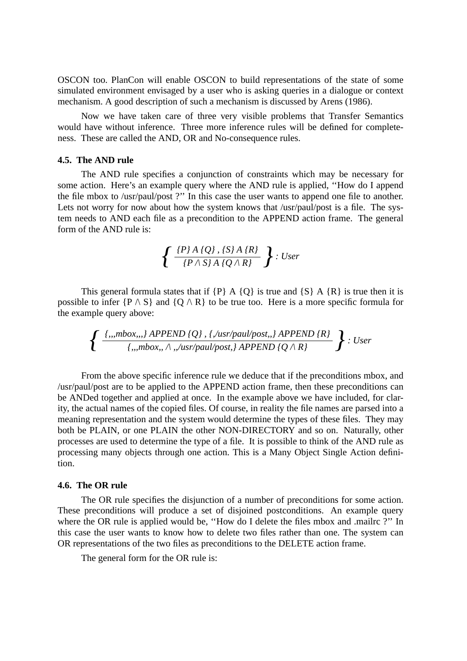OSCON too. PlanCon will enable OSCON to build representations of the state of some simulated environment envisaged by a user who is asking queries in a dialogue or context mechanism. A good description of such a mechanism is discussed by Arens (1986).

Now we have taken care of three very visible problems that Transfer Semantics would have without inference. Three more inference rules will be defined for completeness. These are called the AND, OR and No-consequence rules.

## **4.5. The AND rule**

The AND rule specifies a conjunction of constraints which may be necessary for some action. Here's an example query where the AND rule is applied, ''How do I append the file mbox to /usr/paul/post ?'' In this case the user wants to append one file to another. Lets not worry for now about how the system knows that /usr/paul/post is a file. The system needs to AND each file as a precondition to the APPEND action frame. The general form of the AND rule is:

$$
\left\{\frac{P\}\ A\ \{Q\}\ ,\ \{S\}\ A\ \{R\}}{\left\{P\wedge S\right\}\ A\ \left\{Q\wedge R\right\}}\ \right\}:\ User
$$

This general formula states that if  ${P}$  A  ${Q}$  is true and  ${S}$  A  ${R}$  is true then it is possible to infer  $\{P \wedge S\}$  and  $\{Q \wedge R\}$  to be true too. Here is a more specific formula for the example query above:

$$
\left\{\frac{\{,,,mbox,,\}APPEND\{Q\},\{./usr/paul/post,,\} APPEND\{R\}}{\{,,,mbox,,\land,,/usr/paul/post,\} APPEND\{Q \land R\}}\right\} : User
$$

From the above specific inference rule we deduce that if the preconditions mbox, and /usr/paul/post are to be applied to the APPEND action frame, then these preconditions can be ANDed together and applied at once. In the example above we have included, for clarity, the actual names of the copied files. Of course, in reality the file names are parsed into a meaning representation and the system would determine the types of these files. They may both be PLAIN, or one PLAIN the other NON-DIRECTORY and so on. Naturally, other processes are used to determine the type of a file. It is possible to think of the AND rule as processing many objects through one action. This is a Many Object Single Action definition.

## **4.6. The OR rule**

The OR rule specifies the disjunction of a number of preconditions for some action. These preconditions will produce a set of disjoined postconditions. An example query where the OR rule is applied would be, "How do I delete the files mbox and .mailrc ?" In this case the user wants to know how to delete two files rather than one. The system can OR representations of the two files as preconditions to the DELETE action frame.

The general form for the OR rule is: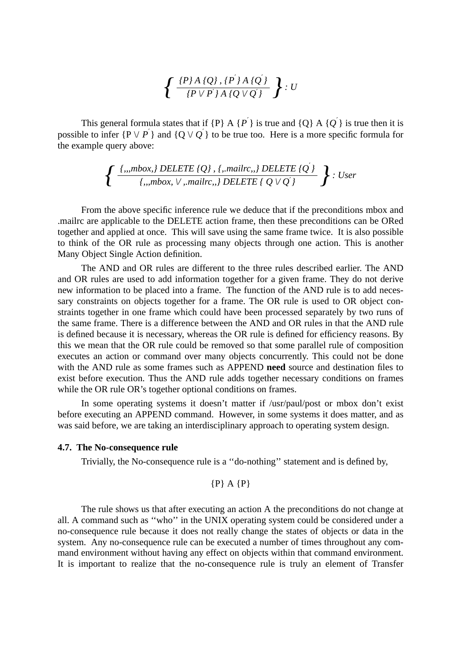$$
\left\{\frac{\{P\}A\{Q\},\{P^{'}\}A\{Q^{'}\}}{\{P\vee P^{'}\}A\{Q\vee Q^{'}\}}\right\}:U
$$

This general formula states that if  $\{P\}$  A  $\{P^{'}\}$  is true and  $\{Q\}$  A  $\{Q^{'}\}$  is true then it is possible to infer  ${P \lor P}'$  and  ${Q \lor Q}'$  to be true too. Here is a more specific formula for the example query above:

$$
\left\{\frac{\{\text{ },\text{ },\text{ }mbox\text{ },\text{ }j\text{ } DELETE}\text{ }\{Q\}\text{ },\text{ }{\text{ },\text{ }mailrc\text{ },\text{ }j\text{ } DELETE}\text{ }\text{ }\{Q^{'}\}\text{ }{\text{ }},\text{ }j\text{ } \text{ }N\text{ } \text{ }j\text{ } mbox\text{ },\text{ }j\text{ } mailrc\text{ },j\text{ } DELETE}\text{ }\right\}:\text{ User}
$$

From the above specific inference rule we deduce that if the preconditions mbox and .mailrc are applicable to the DELETE action frame, then these preconditions can be ORed together and applied at once. This will save using the same frame twice. It is also possible to think of the OR rule as processing many objects through one action. This is another Many Object Single Action definition.

The AND and OR rules are different to the three rules described earlier. The AND and OR rules are used to add information together for a given frame. They do not derive new information to be placed into a frame. The function of the AND rule is to add necessary constraints on objects together for a frame. The OR rule is used to OR object constraints together in one frame which could have been processed separately by two runs of the same frame. There is a difference between the AND and OR rules in that the AND rule is defined because it is necessary, whereas the OR rule is defined for efficiency reasons. By this we mean that the OR rule could be removed so that some parallel rule of composition executes an action or command over many objects concurrently. This could not be done with the AND rule as some frames such as APPEND **need** source and destination files to exist before execution. Thus the AND rule adds together necessary conditions on frames while the OR rule OR's together optional conditions on frames.

In some operating systems it doesn't matter if /usr/paul/post or mbox don't exist before executing an APPEND command. However, in some systems it does matter, and as was said before, we are taking an interdisciplinary approach to operating system design.

#### **4.7. The No-consequence rule**

Trivially, the No-consequence rule is a ''do-nothing'' statement and is defined by,

$$
\{P\} \mathbf{A} \{P\}
$$

The rule shows us that after executing an action A the preconditions do not change at all. A command such as ''who'' in the UNIX operating system could be considered under a no-consequence rule because it does not really change the states of objects or data in the system. Any no-consequence rule can be executed a number of times throughout any command environment without having any effect on objects within that command environment. It is important to realize that the no-consequence rule is truly an element of Transfer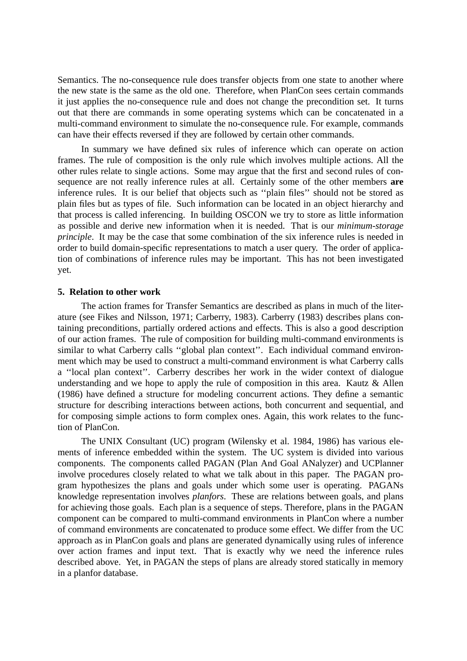Semantics. The no-consequence rule does transfer objects from one state to another where the new state is the same as the old one. Therefore, when PlanCon sees certain commands it just applies the no-consequence rule and does not change the precondition set. It turns out that there are commands in some operating systems which can be concatenated in a multi-command environment to simulate the no-consequence rule. For example, commands can have their effects reversed if they are followed by certain other commands.

In summary we have defined six rules of inference which can operate on action frames. The rule of composition is the only rule which involves multiple actions. All the other rules relate to single actions. Some may argue that the first and second rules of consequence are not really inference rules at all. Certainly some of the other members **are** inference rules. It is our belief that objects such as ''plain files'' should not be stored as plain files but as types of file. Such information can be located in an object hierarchy and that process is called inferencing. In building OSCON we try to store as little information as possible and derive new information when it is needed. That is our *minimum-storage principle*. It may be the case that some combination of the six inference rules is needed in order to build domain-specific representations to match a user query. The order of application of combinations of inference rules may be important. This has not been investigated yet.

#### **5. Relation to other work**

The action frames for Transfer Semantics are described as plans in much of the literature (see Fikes and Nilsson, 1971; Carberry, 1983). Carberry (1983) describes plans containing preconditions, partially ordered actions and effects. This is also a good description of our action frames. The rule of composition for building multi-command environments is similar to what Carberry calls ''global plan context''. Each individual command environment which may be used to construct a multi-command environment is what Carberry calls a ''local plan context''. Carberry describes her work in the wider context of dialogue understanding and we hope to apply the rule of composition in this area. Kautz & Allen (1986) have defined a structure for modeling concurrent actions. They define a semantic structure for describing interactions between actions, both concurrent and sequential, and for composing simple actions to form complex ones. Again, this work relates to the function of PlanCon.

The UNIX Consultant (UC) program (Wilensky et al. 1984, 1986) has various elements of inference embedded within the system. The UC system is divided into various components. The components called PAGAN (Plan And Goal ANalyzer) and UCPlanner involve procedures closely related to what we talk about in this paper. The PAGAN program hypothesizes the plans and goals under which some user is operating. PAGANs knowledge representation involves *planfors*. These are relations between goals, and plans for achieving those goals. Each plan is a sequence of steps. Therefore, plans in the PAGAN component can be compared to multi-command environments in PlanCon where a number of command environments are concatenated to produce some effect. We differ from the UC approach as in PlanCon goals and plans are generated dynamically using rules of inference over action frames and input text. That is exactly why we need the inference rules described above. Yet, in PAGAN the steps of plans are already stored statically in memory in a planfor database.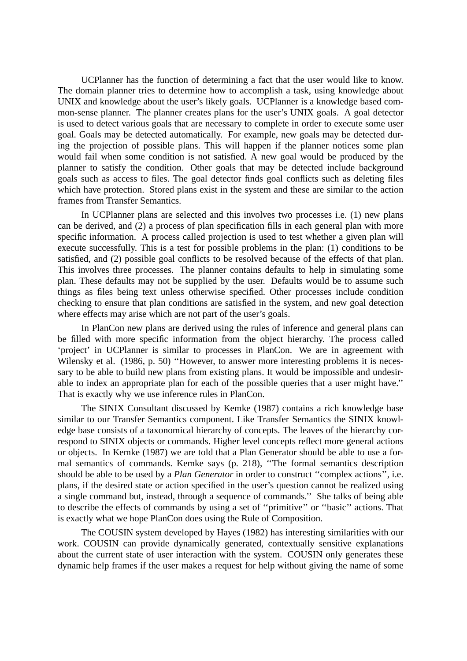UCPlanner has the function of determining a fact that the user would like to know. The domain planner tries to determine how to accomplish a task, using knowledge about UNIX and knowledge about the user's likely goals. UCPlanner is a knowledge based common-sense planner. The planner creates plans for the user's UNIX goals. A goal detector is used to detect various goals that are necessary to complete in order to execute some user goal. Goals may be detected automatically. For example, new goals may be detected during the projection of possible plans. This will happen if the planner notices some plan would fail when some condition is not satisfied. A new goal would be produced by the planner to satisfy the condition. Other goals that may be detected include background goals such as access to files. The goal detector finds goal conflicts such as deleting files which have protection. Stored plans exist in the system and these are similar to the action frames from Transfer Semantics.

In UCPlanner plans are selected and this involves two processes i.e. (1) new plans can be derived, and (2) a process of plan specification fills in each general plan with more specific information. A process called projection is used to test whether a given plan will execute successfully. This is a test for possible problems in the plan: (1) conditions to be satisfied, and (2) possible goal conflicts to be resolved because of the effects of that plan. This involves three processes. The planner contains defaults to help in simulating some plan. These defaults may not be supplied by the user. Defaults would be to assume such things as files being text unless otherwise specified. Other processes include condition checking to ensure that plan conditions are satisfied in the system, and new goal detection where effects may arise which are not part of the user's goals.

In PlanCon new plans are derived using the rules of inference and general plans can be filled with more specific information from the object hierarchy. The process called 'project' in UCPlanner is similar to processes in PlanCon. We are in agreement with Wilensky et al. (1986, p. 50) "However, to answer more interesting problems it is necessary to be able to build new plans from existing plans. It would be impossible and undesirable to index an appropriate plan for each of the possible queries that a user might have.'' That is exactly why we use inference rules in PlanCon.

The SINIX Consultant discussed by Kemke (1987) contains a rich knowledge base similar to our Transfer Semantics component. Like Transfer Semantics the SINIX knowledge base consists of a taxonomical hierarchy of concepts. The leaves of the hierarchy correspond to SINIX objects or commands. Higher level concepts reflect more general actions or objects. In Kemke (1987) we are told that a Plan Generator should be able to use a formal semantics of commands. Kemke says (p. 218), ''The formal semantics description should be able to be used by a *Plan Generator* in order to construct ''complex actions'', i.e. plans, if the desired state or action specified in the user's question cannot be realized using a single command but, instead, through a sequence of commands.'' She talks of being able to describe the effects of commands by using a set of ''primitive'' or ''basic'' actions. That is exactly what we hope PlanCon does using the Rule of Composition.

The COUSIN system developed by Hayes (1982) has interesting similarities with our work. COUSIN can provide dynamically generated, contextually sensitive explanations about the current state of user interaction with the system. COUSIN only generates these dynamic help frames if the user makes a request for help without giving the name of some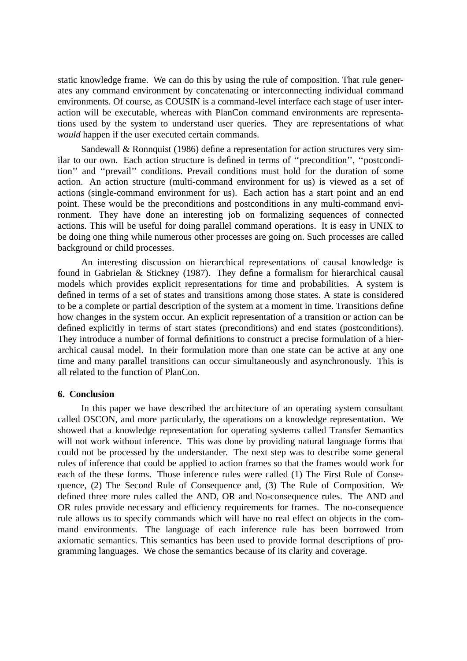static knowledge frame. We can do this by using the rule of composition. That rule generates any command environment by concatenating or interconnecting individual command environments. Of course, as COUSIN is a command-level interface each stage of user interaction will be executable, whereas with PlanCon command environments are representations used by the system to understand user queries. They are representations of what *would* happen if the user executed certain commands.

Sandewall & Ronnquist (1986) define a representation for action structures very similar to our own. Each action structure is defined in terms of ''precondition'', ''postcondition'' and ''prevail'' conditions. Prevail conditions must hold for the duration of some action. An action structure (multi-command environment for us) is viewed as a set of actions (single-command environment for us). Each action has a start point and an end point. These would be the preconditions and postconditions in any multi-command environment. They have done an interesting job on formalizing sequences of connected actions. This will be useful for doing parallel command operations. It is easy in UNIX to be doing one thing while numerous other processes are going on. Such processes are called background or child processes.

An interesting discussion on hierarchical representations of causal knowledge is found in Gabrielan & Stickney (1987). They define a formalism for hierarchical causal models which provides explicit representations for time and probabilities. A system is defined in terms of a set of states and transitions among those states. A state is considered to be a complete or partial description of the system at a moment in time. Transitions define how changes in the system occur. An explicit representation of a transition or action can be defined explicitly in terms of start states (preconditions) and end states (postconditions). They introduce a number of formal definitions to construct a precise formulation of a hierarchical causal model. In their formulation more than one state can be active at any one time and many parallel transitions can occur simultaneously and asynchronously. This is all related to the function of PlanCon.

### **6. Conclusion**

In this paper we have described the architecture of an operating system consultant called OSCON, and more particularly, the operations on a knowledge representation. We showed that a knowledge representation for operating systems called Transfer Semantics will not work without inference. This was done by providing natural language forms that could not be processed by the understander. The next step was to describe some general rules of inference that could be applied to action frames so that the frames would work for each of the these forms. Those inference rules were called (1) The First Rule of Consequence, (2) The Second Rule of Consequence and, (3) The Rule of Composition. We defined three more rules called the AND, OR and No-consequence rules. The AND and OR rules provide necessary and efficiency requirements for frames. The no-consequence rule allows us to specify commands which will have no real effect on objects in the command environments. The language of each inference rule has been borrowed from axiomatic semantics. This semantics has been used to provide formal descriptions of programming languages. We chose the semantics because of its clarity and coverage.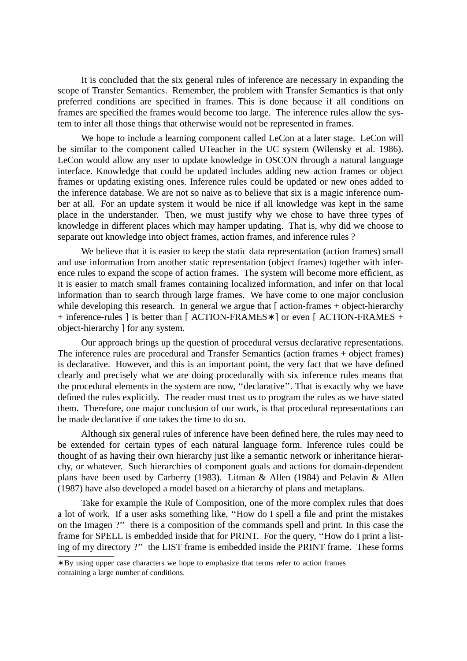It is concluded that the six general rules of inference are necessary in expanding the scope of Transfer Semantics. Remember, the problem with Transfer Semantics is that only preferred conditions are specified in frames. This is done because if all conditions on frames are specified the frames would become too large. The inference rules allow the system to infer all those things that otherwise would not be represented in frames.

We hope to include a learning component called LeCon at a later stage. LeCon will be similar to the component called UTeacher in the UC system (Wilensky et al. 1986). LeCon would allow any user to update knowledge in OSCON through a natural language interface. Knowledge that could be updated includes adding new action frames or object frames or updating existing ones. Inference rules could be updated or new ones added to the inference database. We are not so naive as to believe that six is a magic inference number at all. For an update system it would be nice if all knowledge was kept in the same place in the understander. Then, we must justify why we chose to have three types of knowledge in different places which may hamper updating. That is, why did we choose to separate out knowledge into object frames, action frames, and inference rules ?

We believe that it is easier to keep the static data representation (action frames) small and use information from another static representation (object frames) together with inference rules to expand the scope of action frames. The system will become more efficient, as it is easier to match small frames containing localized information, and infer on that local information than to search through large frames. We have come to one major conclusion while developing this research. In general we argue that  $\lceil$  action-frames + object-hierarchy + inference-rules 1 is better than [ ACTION-FRAMES<sup>\*</sup> 1 or even [ ACTION-FRAMES + object-hierarchy 1 for any system.

Our approach brings up the question of procedural versus declarative representations. The inference rules are procedural and Transfer Semantics (action frames + object frames) is declarative. However, and this is an important point, the very fact that we have defined clearly and precisely what we are doing procedurally with six inference rules means that the procedural elements in the system are now, "declarative". That is exactly why we have defined the rules explicitly. The reader must trust us to program the rules as we have stated them. Therefore, one major conclusion of our work, is that procedural representations can be made declarative if one takes the time to do so.

Although six general rules of inference have been defined here, the rules may need to be extended for certain types of each natural language form. Inference rules could be thought of as having their own hierarchy just like a semantic network or inheritance hierarchy, or whatever. Such hierarchies of component goals and actions for domain-dependent plans have been used by Carberry (1983). Litman & Allen (1984) and Pelavin & Allen (1987) have also developed a model based on a hierarchy of plans and metaplans.

Take for example the Rule of Composition, one of the more complex rules that does a lot of work. If a user asks something like, ''How do I spell a file and print the mistakes on the Imagen ?'' there is a composition of the commands spell and print. In this case the frame for SPELL is embedded inside that for PRINT. For the query, ''How do I print a listing of my directory ?'' the LIST frame is embedded inside the PRINT frame. These forms

<sup>∗</sup> By using upper case characters we hope to emphasize that terms refer to action frames containing a large number of conditions.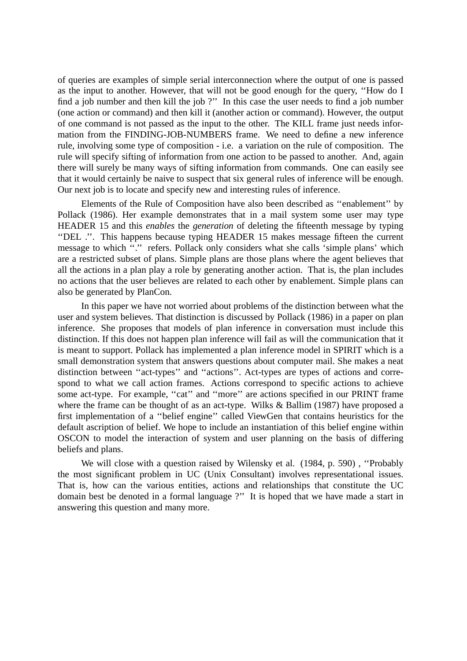of queries are examples of simple serial interconnection where the output of one is passed as the input to another. However, that will not be good enough for the query, "How do I find a job number and then kill the job ?" In this case the user needs to find a job number (one action or command) and then kill it (another action or command). However, the output of one command is not passed as the input to the other. The KILL frame just needs information from the FINDING-JOB-NUMBERS frame. We need to define a new inference rule, involving some type of composition - i.e. a variation on the rule of composition. The rule will specify sifting of information from one action to be passed to another. And, again there will surely be many ways of sifting information from commands. One can easily see that it would certainly be naive to suspect that six general rules of inference will be enough. Our next job is to locate and specify new and interesting rules of inference.

Elements of the Rule of Composition have also been described as ''enablement'' by Pollack (1986). Her example demonstrates that in a mail system some user may type HEADER 15 and this *enables* the *generation* of deleting the fifteenth message by typing ''DEL .''. This happens because typing HEADER 15 makes message fifteen the current message to which "." refers. Pollack only considers what she calls 'simple plans' which are a restricted subset of plans. Simple plans are those plans where the agent believes that all the actions in a plan play a role by generating another action. That is, the plan includes no actions that the user believes are related to each other by enablement. Simple plans can also be generated by PlanCon.

In this paper we have not worried about problems of the distinction between what the user and system believes. That distinction is discussed by Pollack (1986) in a paper on plan inference. She proposes that models of plan inference in conversation must include this distinction. If this does not happen plan inference will fail as will the communication that it is meant to support. Pollack has implemented a plan inference model in SPIRIT which is a small demonstration system that answers questions about computer mail. She makes a neat distinction between ''act-types'' and ''actions''. Act-types are types of actions and correspond to what we call action frames. Actions correspond to specific actions to achieve some act-type. For example, "cat" and "more" are actions specified in our PRINT frame where the frame can be thought of as an act-type. Wilks & Ballim (1987) have proposed a first implementation of a ''belief engine'' called ViewGen that contains heuristics for the default ascription of belief. We hope to include an instantiation of this belief engine within OSCON to model the interaction of system and user planning on the basis of differing beliefs and plans.

We will close with a question raised by Wilensky et al. (1984, p. 590) , ''Probably the most significant problem in UC (Unix Consultant) involves representational issues. That is, how can the various entities, actions and relationships that constitute the UC domain best be denoted in a formal language ?'' It is hoped that we have made a start in answering this question and many more.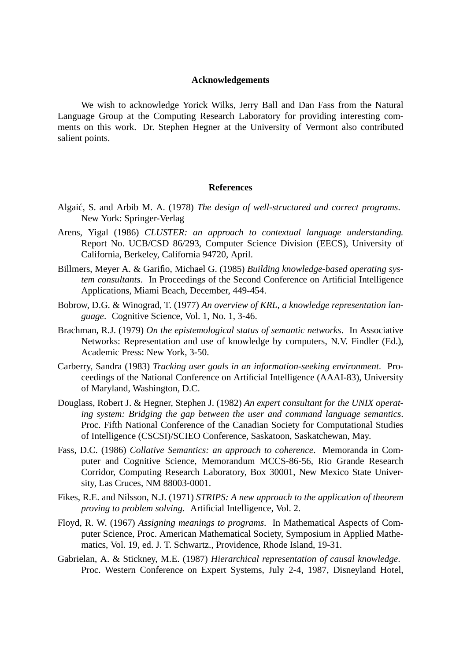## **Acknowledgements**

We wish to acknowledge Yorick Wilks, Jerry Ball and Dan Fass from the Natural Language Group at the Computing Research Laboratory for providing interesting comments on this work. Dr. Stephen Hegner at the University of Vermont also contributed salient points.

#### **References**

- Algaić, S. and Arbib M. A. (1978) *The design of well-structured and correct programs*. New York: Springer-Verlag
- Arens, Yigal (1986) *CLUSTER: an approach to contextual language understanding.* Report No. UCB/CSD 86/293, Computer Science Division (EECS), University of California, Berkeley, California 94720, April.
- Billmers, Meyer A. & Garifio, Michael G. (1985) *Building knowledge-based operating system consultants*. In Proceedings of the Second Conference on Artificial Intelligence Applications, Miami Beach, December, 449-454.
- Bobrow, D.G. & Winograd, T. (1977) *An overview of KRL, a knowledge representation language*. Cognitive Science, Vol. 1, No. 1, 3-46.
- Brachman, R.J. (1979) *On the epistemological status of semantic networks*. In Associative Networks: Representation and use of knowledge by computers, N.V. Findler (Ed.), Academic Press: New York, 3-50.
- Carberry, Sandra (1983) *Tracking user goals in an information-seeking environment*. Proceedings of the National Conference on Artificial Intelligence (AAAI-83), University of Maryland, Washington, D.C.
- Douglass, Robert J. & Hegner, Stephen J. (1982) *An expert consultant for the UNIX operating system: Bridging the gap between the user and command language semantics*. Proc. Fifth National Conference of the Canadian Society for Computational Studies of Intelligence (CSCSI)/SCIEO Conference, Saskatoon, Saskatchewan, May.
- Fass, D.C. (1986) *Collative Semantics: an approach to coherence*. Memoranda in Computer and Cognitive Science, Memorandum MCCS-86-56, Rio Grande Research Corridor, Computing Research Laboratory, Box 30001, New Mexico State University, Las Cruces, NM 88003-0001.
- Fikes, R.E. and Nilsson, N.J. (1971) *STRIPS: A new approach to the application of theorem proving to problem solving*. Artificial Intelligence, Vol. 2.
- Floyd, R. W. (1967) *Assigning meanings to programs*. In Mathematical Aspects of Computer Science, Proc. American Mathematical Society, Symposium in Applied Mathematics, Vol. 19, ed. J. T. Schwartz., Providence, Rhode Island, 19-31.
- Gabrielan, A. & Stickney, M.E. (1987) *Hierarchical representation of causal knowledge*. Proc. Western Conference on Expert Systems, July 2-4, 1987, Disneyland Hotel,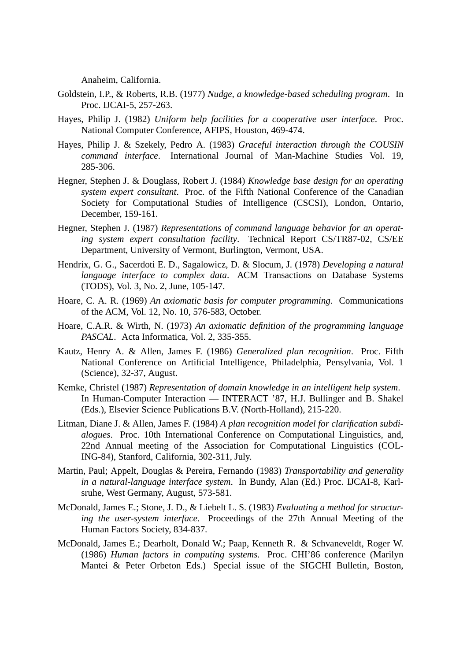Anaheim, California.

- Goldstein, I.P., & Roberts, R.B. (1977) *Nudge, a knowledge-based scheduling program*. In Proc. IJCAI-5, 257-263.
- Hayes, Philip J. (1982) *Uniform help facilities for a cooperative user interface*. Proc. National Computer Conference, AFIPS, Houston, 469-474.
- Hayes, Philip J. & Szekely, Pedro A. (1983) *Graceful interaction through the COUSIN command interface*. International Journal of Man-Machine Studies Vol. 19, 285-306.
- Hegner, Stephen J. & Douglass, Robert J. (1984) *Knowledge base design for an operating system expert consultant*. Proc. of the Fifth National Conference of the Canadian Society for Computational Studies of Intelligence (CSCSI), London, Ontario, December, 159-161.
- Hegner, Stephen J. (1987) *Representations of command language behavior for an operating system expert consultation facility*. Technical Report CS/TR87-02, CS/EE Department, University of Vermont, Burlington, Vermont, USA.
- Hendrix, G. G., Sacerdoti E. D., Sagalowicz, D. & Slocum, J. (1978) *Developing a natural language interface to complex data*. ACM Transactions on Database Systems (TODS), Vol. 3, No. 2, June, 105-147.
- Hoare, C. A. R. (1969) *An axiomatic basis for computer programming*. Communications of the ACM, Vol. 12, No. 10, 576-583, October.
- Hoare, C.A.R. & Wirth, N. (1973) *An axiomatic definition of the programming language PASCAL*. Acta Informatica, Vol. 2, 335-355.
- Kautz, Henry A. & Allen, James F. (1986) *Generalized plan recognition*. Proc. Fifth National Conference on Artificial Intelligence, Philadelphia, Pensylvania, Vol. 1 (Science), 32-37, August.
- Kemke, Christel (1987) *Representation of domain knowledge in an intelligent help system*. In Human-Computer Interaction — INTERACT '87, H.J. Bullinger and B. Shakel (Eds.), Elsevier Science Publications B.V. (North-Holland), 215-220.
- Litman, Diane J. & Allen, James F. (1984) *A plan recognition model for clarification subdialogues*. Proc. 10th International Conference on Computational Linguistics, and, 22nd Annual meeting of the Association for Computational Linguistics (COL-ING-84), Stanford, California, 302-311, July.
- Martin, Paul; Appelt, Douglas & Pereira, Fernando (1983) *Transportability and generality in a natural-language interface system*. In Bundy, Alan (Ed.) Proc. IJCAI-8, Karlsruhe, West Germany, August, 573-581.
- McDonald, James E.; Stone, J. D., & Liebelt L. S. (1983) *Evaluating a method for structuring the user-system interface*. Proceedings of the 27th Annual Meeting of the Human Factors Society, 834-837.
- McDonald, James E.; Dearholt, Donald W.; Paap, Kenneth R. & Schvaneveldt, Roger W. (1986) *Human factors in computing systems.* Proc. CHI'86 conference (Marilyn Mantei & Peter Orbeton Eds.) Special issue of the SIGCHI Bulletin, Boston,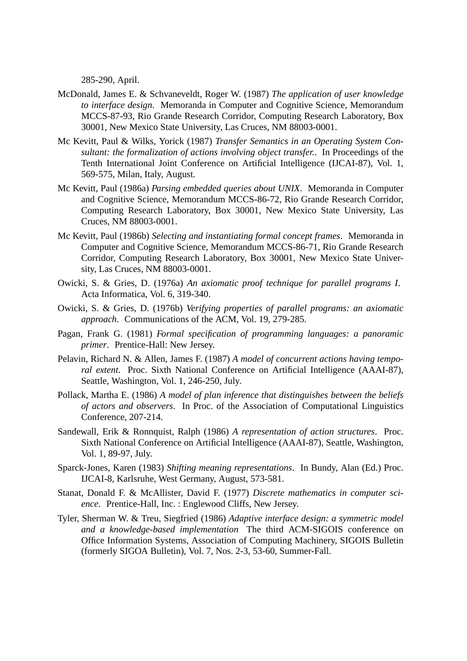285-290, April.

- McDonald, James E. & Schvaneveldt, Roger W. (1987) *The application of user knowledge to interface design*. Memoranda in Computer and Cognitive Science, Memorandum MCCS-87-93, Rio Grande Research Corridor, Computing Research Laboratory, Box 30001, New Mexico State University, Las Cruces, NM 88003-0001.
- Mc Kevitt, Paul & Wilks, Yorick (1987) *Transfer Semantics in an Operating System Consultant: the formalization of actions involving object transfer.*. In Proceedings of the Tenth International Joint Conference on Artificial Intelligence (IJCAI-87), Vol. 1, 569-575, Milan, Italy, August.
- Mc Kevitt, Paul (1986a) *Parsing embedded queries about UNIX*. Memoranda in Computer and Cognitive Science, Memorandum MCCS-86-72, Rio Grande Research Corridor, Computing Research Laboratory, Box 30001, New Mexico State University, Las Cruces, NM 88003-0001.
- Mc Kevitt, Paul (1986b) *Selecting and instantiating formal concept frames*. Memoranda in Computer and Cognitive Science, Memorandum MCCS-86-71, Rio Grande Research Corridor, Computing Research Laboratory, Box 30001, New Mexico State University, Las Cruces, NM 88003-0001.
- Owicki, S. & Gries, D. (1976a) *An axiomatic proof technique for parallel programs I*. Acta Informatica, Vol. 6, 319-340.
- Owicki, S. & Gries, D. (1976b) *Verifying properties of parallel programs: an axiomatic approach*. Communications of the ACM, Vol. 19, 279-285.
- Pagan, Frank G. (1981) *Formal specification of programming languages: a panoramic primer*. Prentice-Hall: New Jersey.
- Pelavin, Richard N. & Allen, James F. (1987) *A model of concurrent actions having temporal extent*. Proc. Sixth National Conference on Artificial Intelligence (AAAI-87), Seattle, Washington, Vol. 1, 246-250, July.
- Pollack, Martha E. (1986) *A model of plan inference that distinguishes between the beliefs of actors and observers*. In Proc. of the Association of Computational Linguistics Conference, 207-214.
- Sandewall, Erik & Ronnquist, Ralph (1986) *A representation of action structures*. Proc. Sixth National Conference on Artificial Intelligence (AAAI-87), Seattle, Washington, Vol. 1, 89-97, July.
- Sparck-Jones, Karen (1983) *Shifting meaning representations*. In Bundy, Alan (Ed.) Proc. IJCAI-8, Karlsruhe, West Germany, August, 573-581.
- Stanat, Donald F. & McAllister, David F. (1977) *Discrete mathematics in computer science*. Prentice-Hall, Inc. : Englewood Cliffs, New Jersey.
- Tyler, Sherman W.&Treu, Siegfried (1986) *Adaptive interface design: a symmetric model and a knowledge-based implementation* The third ACM-SIGOIS conference on Office Information Systems, Association of Computing Machinery, SIGOIS Bulletin (formerly SIGOA Bulletin), Vol. 7, Nos. 2-3, 53-60, Summer-Fall.